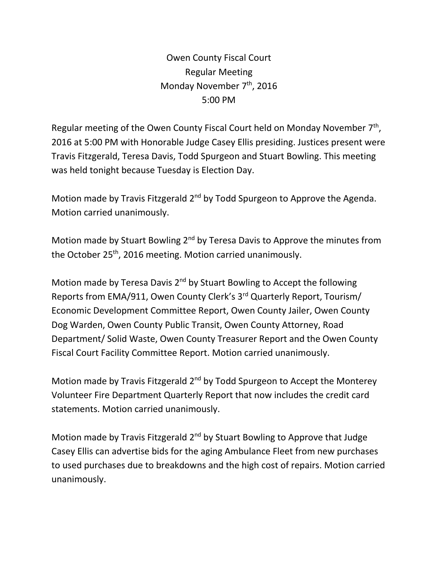Owen County Fiscal Court Regular Meeting Monday November  $7<sup>th</sup>$ , 2016 5:00 PM

Regular meeting of the Owen County Fiscal Court held on Monday November 7<sup>th</sup>, 2016 at 5:00 PM with Honorable Judge Casey Ellis presiding. Justices present were Travis Fitzgerald, Teresa Davis, Todd Spurgeon and Stuart Bowling. This meeting was held tonight because Tuesday is Election Day.

Motion made by Travis Fitzgerald 2<sup>nd</sup> by Todd Spurgeon to Approve the Agenda. Motion carried unanimously.

Motion made by Stuart Bowling 2<sup>nd</sup> by Teresa Davis to Approve the minutes from the October 25<sup>th</sup>, 2016 meeting. Motion carried unanimously.

Motion made by Teresa Davis 2<sup>nd</sup> by Stuart Bowling to Accept the following Reports from EMA/911, Owen County Clerk's 3rd Quarterly Report, Tourism/ Economic Development Committee Report, Owen County Jailer, Owen County Dog Warden, Owen County Public Transit, Owen County Attorney, Road Department/ Solid Waste, Owen County Treasurer Report and the Owen County Fiscal Court Facility Committee Report. Motion carried unanimously.

Motion made by Travis Fitzgerald 2<sup>nd</sup> by Todd Spurgeon to Accept the Monterey Volunteer Fire Department Quarterly Report that now includes the credit card statements. Motion carried unanimously.

Motion made by Travis Fitzgerald 2<sup>nd</sup> by Stuart Bowling to Approve that Judge Casey Ellis can advertise bids for the aging Ambulance Fleet from new purchases to used purchases due to breakdowns and the high cost of repairs. Motion carried unanimously.